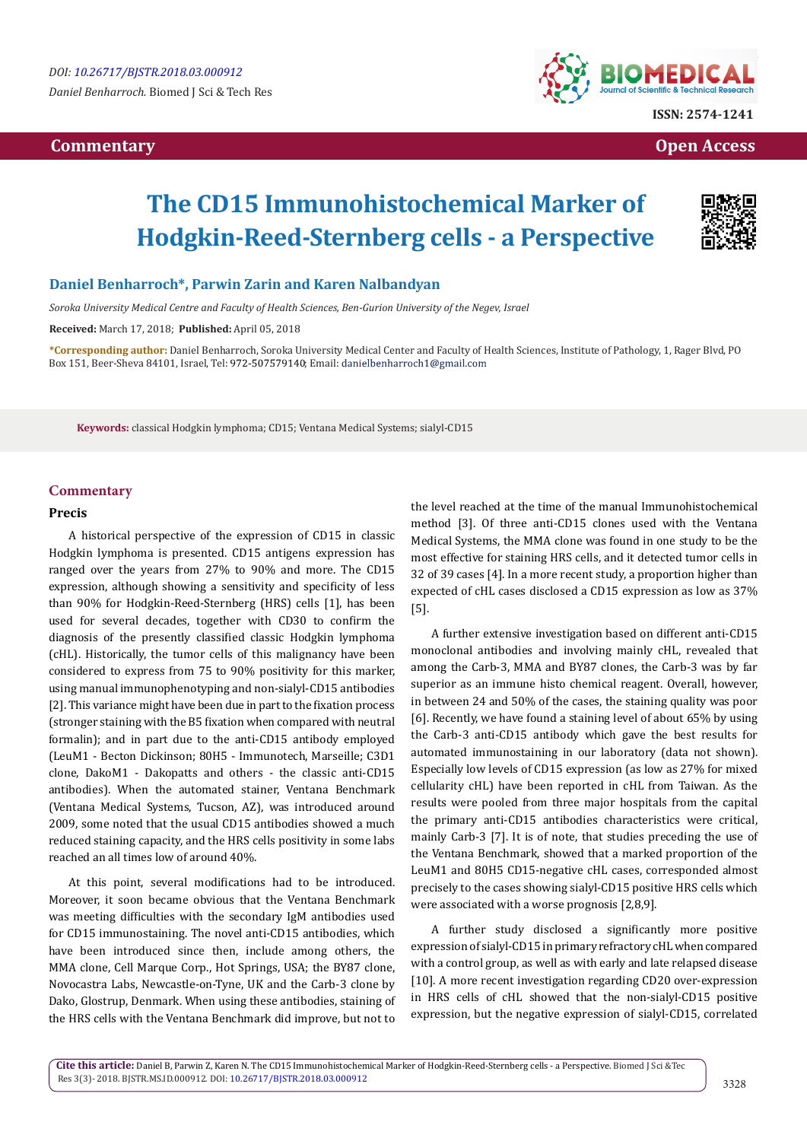# **Commentary Open Access**



# **The CD15 Immunohistochemical Marker of Hodgkin-Reed-Sternberg cells - a Perspective**



# **Daniel Benharroch\*, Parwin Zarin and Karen Nalbandyan**

*Soroka University Medical Centre and Faculty of Health Sciences, Ben-Gurion University of the Negev, Israel*

**Received:** March 17, 2018; **Published:** April 05, 2018

**\*Corresponding author:** Daniel Benharroch, Soroka University Medical Center and Faculty of Health Sciences, Institute of Pathology, 1, Rager Blvd, PO Box 151, Beer-Sheva 84101, Israel, Tel: 972-507579140; Email: danielbenharroch1@gmail.com

**Keywords:** classical Hodgkin lymphoma; CD15; Ventana Medical Systems; sialyl-CD15

## **Commentary**

#### **Precis**

A historical perspective of the expression of CD15 in classic Hodgkin lymphoma is presented. CD15 antigens expression has ranged over the years from 27% to 90% and more. The CD15 expression, although showing a sensitivity and specificity of less than 90% for Hodgkin-Reed-Sternberg (HRS) cells [1], has been used for several decades, together with CD30 to confirm the diagnosis of the presently classified classic Hodgkin lymphoma (cHL). Historically, the tumor cells of this malignancy have been considered to express from 75 to 90% positivity for this marker, using manual immunophenotyping and non-sialyl-CD15 antibodies [2]. This variance might have been due in part to the fixation process (stronger staining with the B5 fixation when compared with neutral formalin); and in part due to the anti-CD15 antibody employed (LeuM1 - Becton Dickinson; 80H5 - Immunotech, Marseille; C3D1 clone, DakoM1 - Dakopatts and others - the classic anti-CD15 antibodies). When the automated stainer, Ventana Benchmark (Ventana Medical Systems, Tucson, AZ), was introduced around 2009, some noted that the usual CD15 antibodies showed a much reduced staining capacity, and the HRS cells positivity in some labs reached an all times low of around 40%.

At this point, several modifications had to be introduced. Moreover, it soon became obvious that the Ventana Benchmark was meeting difficulties with the secondary IgM antibodies used for CD15 immunostaining. The novel anti-CD15 antibodies, which have been introduced since then, include among others, the MMA clone, Cell Marque Corp., Hot Springs, USA; the BY87 clone, Novocastra Labs, Newcastle-on-Tyne, UK and the Carb-3 clone by Dako, Glostrup, Denmark. When using these antibodies, staining of the HRS cells with the Ventana Benchmark did improve, but not to

the level reached at the time of the manual Immunohistochemical method [3]. Of three anti-CD15 clones used with the Ventana Medical Systems, the MMA clone was found in one study to be the most effective for staining HRS cells, and it detected tumor cells in 32 of 39 cases [4]. In a more recent study, a proportion higher than expected of cHL cases disclosed a CD15 expression as low as 37% [5].

A further extensive investigation based on different anti-CD15 monoclonal antibodies and involving mainly cHL, revealed that among the Carb-3, MMA and BY87 clones, the Carb-3 was by far superior as an immune histo chemical reagent. Overall, however, in between 24 and 50% of the cases, the staining quality was poor [6]. Recently, we have found a staining level of about 65% by using the Carb-3 anti-CD15 antibody which gave the best results for automated immunostaining in our laboratory (data not shown). Especially low levels of CD15 expression (as low as 27% for mixed cellularity cHL) have been reported in cHL from Taiwan. As the results were pooled from three major hospitals from the capital the primary anti-CD15 antibodies characteristics were critical, mainly Carb-3 [7]. It is of note, that studies preceding the use of the Ventana Benchmark, showed that a marked proportion of the LeuM1 and 80H5 CD15-negative cHL cases, corresponded almost precisely to the cases showing sialyl-CD15 positive HRS cells which were associated with a worse prognosis [2,8,9].

A further study disclosed a significantly more positive expression of sialyl-CD15 in primary refractory cHL when compared with a control group, as well as with early and late relapsed disease [10]. A more recent investigation regarding CD20 over-expression in HRS cells of cHL showed that the non-sialyl-CD15 positive expression, but the negative expression of sialyl-CD15, correlated